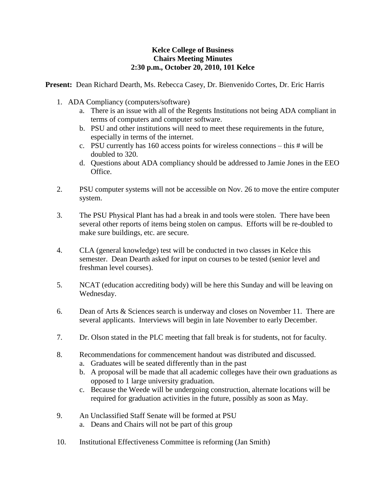## **Kelce College of Business Chairs Meeting Minutes 2:30 p.m., October 20, 2010, 101 Kelce**

**Present:** Dean Richard Dearth, Ms. Rebecca Casey, Dr. Bienvenido Cortes, Dr. Eric Harris

- 1. ADA Compliancy (computers/software)
	- a. There is an issue with all of the Regents Institutions not being ADA compliant in terms of computers and computer software.
	- b. PSU and other institutions will need to meet these requirements in the future, especially in terms of the internet.
	- c. PSU currently has 160 access points for wireless connections this # will be doubled to 320.
	- d. Questions about ADA compliancy should be addressed to Jamie Jones in the EEO Office.
- 2. PSU computer systems will not be accessible on Nov. 26 to move the entire computer system.
- 3. The PSU Physical Plant has had a break in and tools were stolen. There have been several other reports of items being stolen on campus. Efforts will be re-doubled to make sure buildings, etc. are secure.
- 4. CLA (general knowledge) test will be conducted in two classes in Kelce this semester. Dean Dearth asked for input on courses to be tested (senior level and freshman level courses).
- 5. NCAT (education accrediting body) will be here this Sunday and will be leaving on Wednesday.
- 6. Dean of Arts & Sciences search is underway and closes on November 11. There are several applicants. Interviews will begin in late November to early December.
- 7. Dr. Olson stated in the PLC meeting that fall break is for students, not for faculty.
- 8. Recommendations for commencement handout was distributed and discussed.
	- a. Graduates will be seated differently than in the past
	- b. A proposal will be made that all academic colleges have their own graduations as opposed to 1 large university graduation.
	- c. Because the Weede will be undergoing construction, alternate locations will be required for graduation activities in the future, possibly as soon as May.
- 9. An Unclassified Staff Senate will be formed at PSU
	- a. Deans and Chairs will not be part of this group
- 10. Institutional Effectiveness Committee is reforming (Jan Smith)